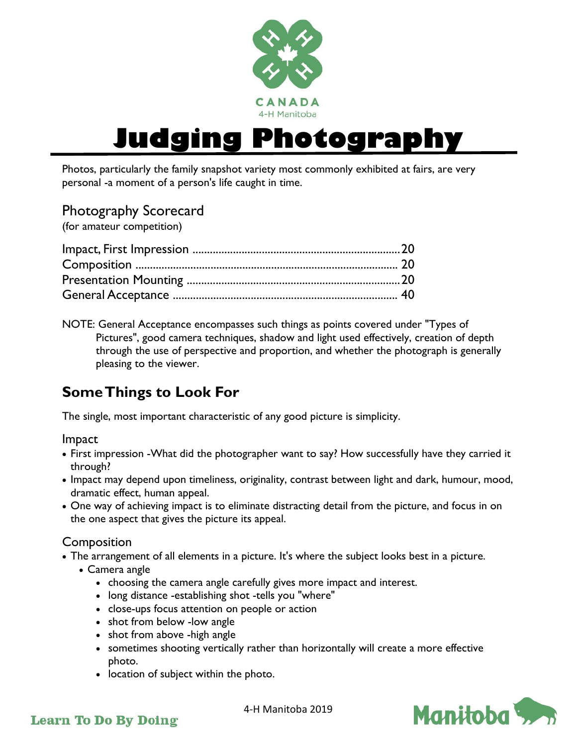

# **Judging Photogra**

Photos, particularly the family snapshot variety most commonly exhibited at fairs, are very personal -a moment of a person's life caught in time.

## Photography Scorecard

(for amateur competition)

NOTE: General Acceptance encompasses such things as points covered under "Types of Pictures", good camera techniques, shadow and light used effectively, creation of depth through the use of perspective and proportion, and whether the photograph is generally pleasing to the viewer.

# **Some Things to Look For**

The single, most important characteristic of any good picture is simplicity.

Impact

- First impression -What did the photographer want to say? How successfully have they carried it through?
- Impact may depend upon timeliness, originality, contrast between light and dark, humour, mood, dramatic effect, human appeal.
- One way of achieving impact is to eliminate distracting detail from the picture, and focus in on the one aspect that gives the picture its appeal.

#### Composition

- The arrangement of all elements in a picture. It's where the subject looks best in a picture.
	- Camera angle
		- choosing the camera angle carefully gives more impact and interest.
		- long distance -establishing shot -tells you "where"
		- close-ups focus attention on people or action
		- shot from below -low angle
		- shot from above -high angle
		- sometimes shooting vertically rather than horizontally will create a more effective photo.
		- location of subject within the photo.



#### **Learn To Do By Doing**

4-H Manitoba 2019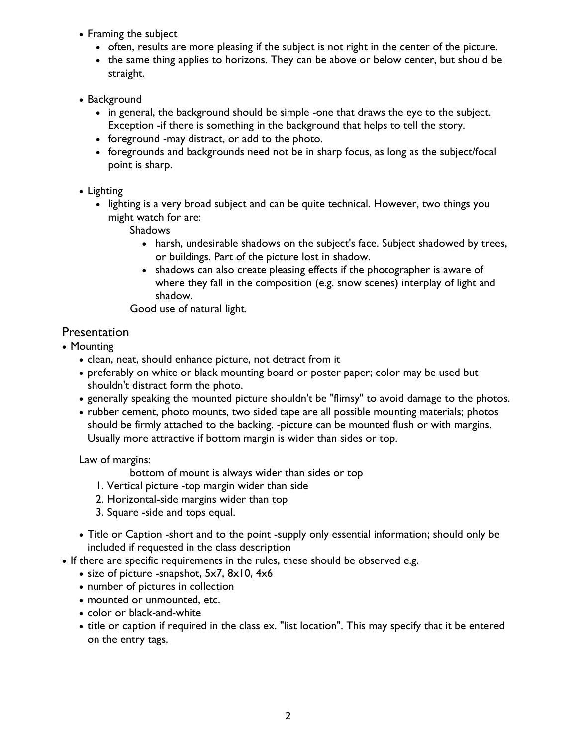- Framing the subject
	- often, results are more pleasing if the subject is not right in the center of the picture.
	- the same thing applies to horizons. They can be above or below center, but should be straight.
- Background
	- in general, the background should be simple -one that draws the eye to the subject. Exception -if there is something in the background that helps to tell the story.
	- foreground -may distract, or add to the photo.
	- foregrounds and backgrounds need not be in sharp focus, as long as the subject/focal point is sharp.
- Lighting
	- lighting is a very broad subject and can be quite technical. However, two things you might watch for are:

**Shadows** 

- harsh, undesirable shadows on the subject's face. Subject shadowed by trees, or buildings. Part of the picture lost in shadow.
- shadows can also create pleasing effects if the photographer is aware of where they fall in the composition (e.g. snow scenes) interplay of light and shadow.

Good use of natural light.

### **Presentation**

- Mounting
	- clean, neat, should enhance picture, not detract from it
	- preferably on white or black mounting board or poster paper; color may be used but shouldn't distract form the photo.
	- generally speaking the mounted picture shouldn't be "flimsy" to avoid damage to the photos.
	- rubber cement, photo mounts, two sided tape are all possible mounting materials; photos should be firmly attached to the backing. -picture can be mounted flush or with margins. Usually more attractive if bottom margin is wider than sides or top.

Law of margins:

- bottom of mount is always wider than sides or top
- 1. Vertical picture -top margin wider than side
- 2. Horizontal-side margins wider than top
- 3. Square -side and tops equal.
- Title or Caption -short and to the point -supply only essential information; should only be included if requested in the class description
- If there are specific requirements in the rules, these should be observed e.g.
	- size of picture -snapshot, 5x7, 8x10, 4x6
	- number of pictures in collection
	- mounted or unmounted, etc.
	- color or black-and-white
	- title or caption if required in the class ex. "list location". This may specify that it be entered on the entry tags.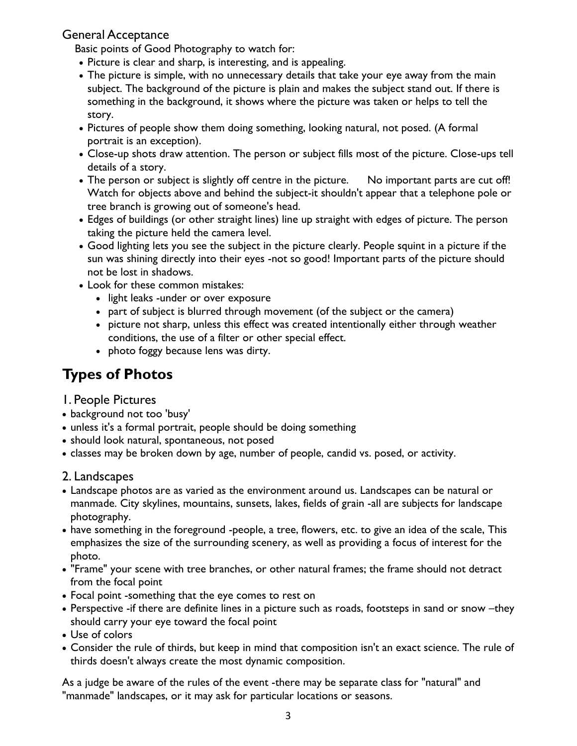#### General Acceptance

Basic points of Good Photography to watch for:

- Picture is clear and sharp, is interesting, and is appealing.
- The picture is simple, with no unnecessary details that take your eye away from the main subject. The background of the picture is plain and makes the subject stand out. If there is something in the background, it shows where the picture was taken or helps to tell the story.
- Pictures of people show them doing something, looking natural, not posed. (A formal portrait is an exception).
- Close-up shots draw attention. The person or subject fills most of the picture. Close-ups tell details of a story.
- The person or subject is slightly off centre in the picture. No important parts are cut off! Watch for objects above and behind the subject-it shouldn't appear that a telephone pole or tree branch is growing out of someone's head.
- Edges of buildings (or other straight lines) line up straight with edges of picture. The person taking the picture held the camera level.
- Good lighting lets you see the subject in the picture clearly. People squint in a picture if the sun was shining directly into their eyes -not so good! Important parts of the picture should not be lost in shadows.
- Look for these common mistakes:
	- light leaks -under or over exposure
	- part of subject is blurred through movement (of the subject or the camera)
	- picture not sharp, unless this effect was created intentionally either through weather conditions, the use of a filter or other special effect.
	- photo foggy because lens was dirty.

# **Types of Photos**

- 1. People Pictures
- background not too 'busy'
- unless it's a formal portrait, people should be doing something
- should look natural, spontaneous, not posed
- classes may be broken down by age, number of people, candid vs. posed, or activity.

#### 2. Landscapes

- Landscape photos are as varied as the environment around us. Landscapes can be natural or manmade. City skylines, mountains, sunsets, lakes, fields of grain -all are subjects for landscape photography.
- have something in the foreground -people, a tree, flowers, etc. to give an idea of the scale, This emphasizes the size of the surrounding scenery, as well as providing a focus of interest for the photo.
- "Frame" your scene with tree branches, or other natural frames; the frame should not detract from the focal point
- Focal point -something that the eye comes to rest on
- Perspective -if there are definite lines in a picture such as roads, footsteps in sand or snow –they should carry your eye toward the focal point
- Use of colors
- Consider the rule of thirds, but keep in mind that composition isn't an exact science. The rule of thirds doesn't always create the most dynamic composition.

As a judge be aware of the rules of the event -there may be separate class for "natural" and "manmade" landscapes, or it may ask for particular locations or seasons.